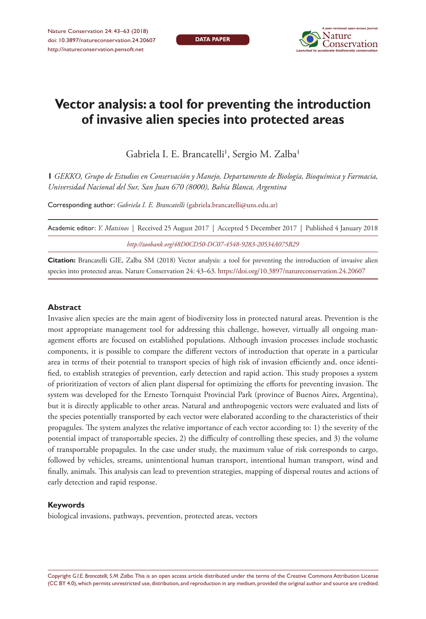**DATA PAPER**



# **Vector analysis: a tool for preventing the introduction of invasive alien species into protected areas**

Gabriela I. E. Brancatelli', Sergio M. Zalba'

**1** *GEKKO, Grupo de Estudios en Conservación y Manejo, Departamento de Biología, Bioquímica y Farmacia, Universidad Nacional del Sur, San Juan 670 (8000), Bahía Blanca, Argentina*

Corresponding author: *Gabriela I. E. Brancatelli* [\(gabriela.brancatelli@uns.edu.ar\)](mailto:gabriela.brancatelli@uns.edu.ar)

| Academic editor: <i>Y. Matsinos</i>   Received 25 August 2017   Accepted 5 December 2017   Published 4 January 2018 |  |
|---------------------------------------------------------------------------------------------------------------------|--|
| http://zoobank.org/48D0CD50-DC07-4548-9283-20534A075B29                                                             |  |

**Citation:** Brancatelli GIE, Zalba SM (2018) Vector analysis: a tool for preventing the introduction of invasive alien species into protected areas. Nature Conservation 24: 43–63.<https://doi.org/10.3897/natureconservation.24.20607>

#### **Abstract**

Invasive alien species are the main agent of biodiversity loss in protected natural areas. Prevention is the most appropriate management tool for addressing this challenge, however, virtually all ongoing management efforts are focused on established populations. Although invasion processes include stochastic components, it is possible to compare the different vectors of introduction that operate in a particular area in terms of their potential to transport species of high risk of invasion efficiently and, once identified, to establish strategies of prevention, early detection and rapid action. This study proposes a system of prioritization of vectors of alien plant dispersal for optimizing the efforts for preventing invasion. The system was developed for the Ernesto Tornquist Provincial Park (province of Buenos Aires, Argentina), but it is directly applicable to other areas. Natural and anthropogenic vectors were evaluated and lists of the species potentially transported by each vector were elaborated according to the characteristics of their propagules. The system analyzes the relative importance of each vector according to: 1) the severity of the potential impact of transportable species, 2) the difficulty of controlling these species, and 3) the volume of transportable propagules. In the case under study, the maximum value of risk corresponds to cargo, followed by vehicles, streams, unintentional human transport, intentional human transport, wind and finally, animals. This analysis can lead to prevention strategies, mapping of dispersal routes and actions of early detection and rapid response.

#### **Keywords**

biological invasions, pathways, prevention, protected areas, vectors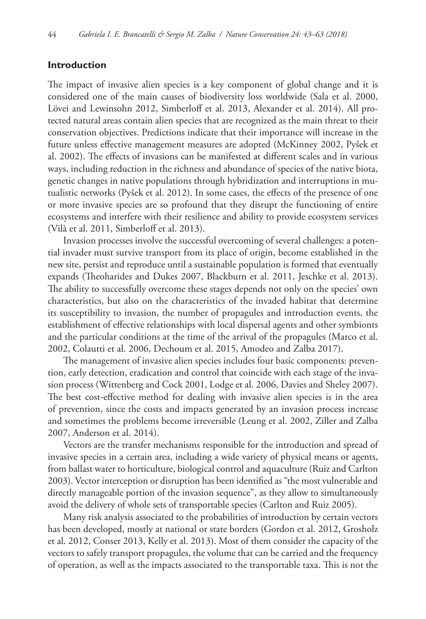## **Introduction**

The impact of invasive alien species is a key component of global change and it is considered one of the main causes of biodiversity loss worldwide (Sala et al. 2000, Lövei and Lewinsohn 2012, Simberloff et al. 2013, Alexander et al. 2014). All protected natural areas contain alien species that are recognized as the main threat to their conservation objectives. Predictions indicate that their importance will increase in the future unless effective management measures are adopted (McKinney 2002, Pyšek et al. 2002). The effects of invasions can be manifested at different scales and in various ways, including reduction in the richness and abundance of species of the native biota, genetic changes in native populations through hybridization and interruptions in mutualistic networks (Pyšek et al. 2012). In some cases, the effects of the presence of one or more invasive species are so profound that they disrupt the functioning of entire ecosystems and interfere with their resilience and ability to provide ecosystem services (Vilà et al. 2011, Simberloff et al. 2013).

Invasion processes involve the successful overcoming of several challenges: a potential invader must survive transport from its place of origin, become established in the new site, persist and reproduce until a sustainable population is formed that eventually expands (Theoharides and Dukes 2007, Blackburn et al. 2011, Jeschke et al. 2013). The ability to successfully overcome these stages depends not only on the species' own characteristics, but also on the characteristics of the invaded habitat that determine its susceptibility to invasion, the number of propagules and introduction events, the establishment of effective relationships with local dispersal agents and other symbionts and the particular conditions at the time of the arrival of the propagules (Marco et al. 2002, Colautti et al. 2006, Dechoum et al. 2015, Amodeo and Zalba 2017).

The management of invasive alien species includes four basic components: prevention, early detection, eradication and control that coincide with each stage of the invasion process (Wittenberg and Cock 2001, Lodge et al. 2006, Davies and Sheley 2007). The best cost-effective method for dealing with invasive alien species is in the area of prevention, since the costs and impacts generated by an invasion process increase and sometimes the problems become irreversible (Leung et al. 2002, Ziller and Zalba 2007, Anderson et al. 2014).

Vectors are the transfer mechanisms responsible for the introduction and spread of invasive species in a certain area, including a wide variety of physical means or agents, from ballast water to horticulture, biological control and aquaculture (Ruiz and Carlton 2003). Vector interception or disruption has been identified as "the most vulnerable and directly manageable portion of the invasion sequence", as they allow to simultaneously avoid the delivery of whole sets of transportable species (Carlton and Ruiz 2005).

Many risk analysis associated to the probabilities of introduction by certain vectors has been developed, mostly at national or state borders (Gordon et al. 2012, Grosholz et al. 2012, Conser 2013, Kelly et al. 2013). Most of them consider the capacity of the vectors to safely transport propagules, the volume that can be carried and the frequency of operation, as well as the impacts associated to the transportable taxa. This is not the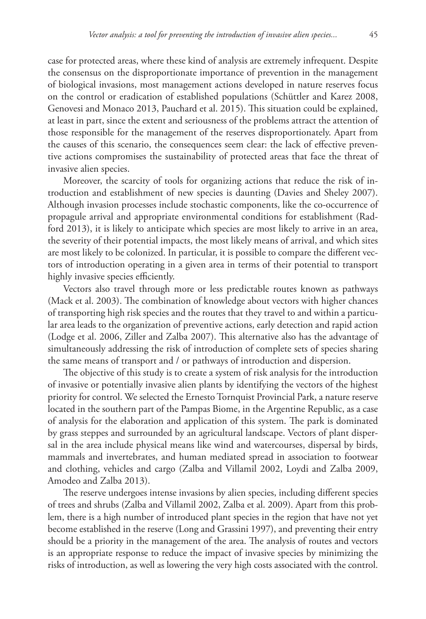case for protected areas, where these kind of analysis are extremely infrequent. Despite the consensus on the disproportionate importance of prevention in the management of biological invasions, most management actions developed in nature reserves focus on the control or eradication of established populations (Schüttler and Karez 2008, Genovesi and Monaco 2013, Pauchard et al. 2015). This situation could be explained, at least in part, since the extent and seriousness of the problems attract the attention of those responsible for the management of the reserves disproportionately. Apart from the causes of this scenario, the consequences seem clear: the lack of effective preventive actions compromises the sustainability of protected areas that face the threat of invasive alien species.

Moreover, the scarcity of tools for organizing actions that reduce the risk of introduction and establishment of new species is daunting (Davies and Sheley 2007). Although invasion processes include stochastic components, like the co-occurrence of propagule arrival and appropriate environmental conditions for establishment (Radford 2013), it is likely to anticipate which species are most likely to arrive in an area, the severity of their potential impacts, the most likely means of arrival, and which sites are most likely to be colonized. In particular, it is possible to compare the different vectors of introduction operating in a given area in terms of their potential to transport highly invasive species efficiently.

Vectors also travel through more or less predictable routes known as pathways (Mack et al. 2003). The combination of knowledge about vectors with higher chances of transporting high risk species and the routes that they travel to and within a particular area leads to the organization of preventive actions, early detection and rapid action (Lodge et al. 2006, Ziller and Zalba 2007). This alternative also has the advantage of simultaneously addressing the risk of introduction of complete sets of species sharing the same means of transport and / or pathways of introduction and dispersion.

The objective of this study is to create a system of risk analysis for the introduction of invasive or potentially invasive alien plants by identifying the vectors of the highest priority for control. We selected the Ernesto Tornquist Provincial Park, a nature reserve located in the southern part of the Pampas Biome, in the Argentine Republic, as a case of analysis for the elaboration and application of this system. The park is dominated by grass steppes and surrounded by an agricultural landscape. Vectors of plant dispersal in the area include physical means like wind and watercourses, dispersal by birds, mammals and invertebrates, and human mediated spread in association to footwear and clothing, vehicles and cargo (Zalba and Villamil 2002, Loydi and Zalba 2009, Amodeo and Zalba 2013).

The reserve undergoes intense invasions by alien species, including different species of trees and shrubs (Zalba and Villamil 2002, Zalba et al. 2009). Apart from this problem, there is a high number of introduced plant species in the region that have not yet become established in the reserve (Long and Grassini 1997), and preventing their entry should be a priority in the management of the area. The analysis of routes and vectors is an appropriate response to reduce the impact of invasive species by minimizing the risks of introduction, as well as lowering the very high costs associated with the control.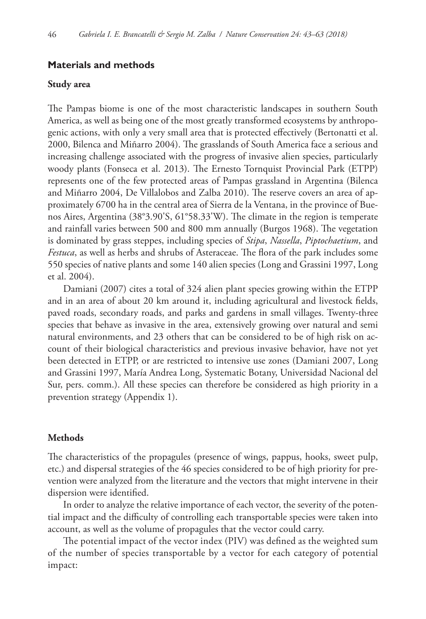## **Materials and methods**

#### **Study area**

The Pampas biome is one of the most characteristic landscapes in southern South America, as well as being one of the most greatly transformed ecosystems by anthropogenic actions, with only a very small area that is protected effectively (Bertonatti et al. 2000, Bilenca and Miñarro 2004). The grasslands of South America face a serious and increasing challenge associated with the progress of invasive alien species, particularly woody plants (Fonseca et al. 2013). The Ernesto Tornquist Provincial Park (ETPP) represents one of the few protected areas of Pampas grassland in Argentina (Bilenca and Miñarro 2004, De Villalobos and Zalba 2010). The reserve covers an area of approximately 6700 ha in the central area of Sierra de la Ventana, in the province of Buenos Aires, Argentina (38°3.90'S, 61°58.33'W). The climate in the region is temperate and rainfall varies between 500 and 800 mm annually (Burgos 1968). The vegetation is dominated by grass steppes, including species of *Stipa*, *Nassella*, *Piptochaetium*, and *Festuca*, as well as herbs and shrubs of Asteraceae. The flora of the park includes some 550 species of native plants and some 140 alien species (Long and Grassini 1997, Long et al. 2004).

Damiani (2007) cites a total of 324 alien plant species growing within the ETPP and in an area of about 20 km around it, including agricultural and livestock fields, paved roads, secondary roads, and parks and gardens in small villages. Twenty-three species that behave as invasive in the area, extensively growing over natural and semi natural environments, and 23 others that can be considered to be of high risk on account of their biological characteristics and previous invasive behavior, have not yet been detected in ETPP, or are restricted to intensive use zones (Damiani 2007, Long and Grassini 1997, María Andrea Long, Systematic Botany, Universidad Nacional del Sur, pers. comm.). All these species can therefore be considered as high priority in a prevention strategy (Appendix 1).

#### **Methods**

The characteristics of the propagules (presence of wings, pappus, hooks, sweet pulp, etc.) and dispersal strategies of the 46 species considered to be of high priority for prevention were analyzed from the literature and the vectors that might intervene in their dispersion were identified.

In order to analyze the relative importance of each vector, the severity of the potential impact and the difficulty of controlling each transportable species were taken into account, as well as the volume of propagules that the vector could carry.

The potential impact of the vector index (PIV) was defined as the weighted sum of the number of species transportable by a vector for each category of potential impact: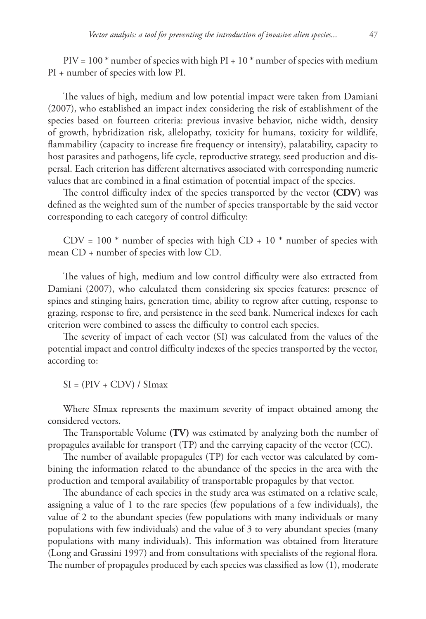$PIV = 100*$  number of species with high PI + 10<sup>\*</sup> number of species with medium PI + number of species with low PI.

The values of high, medium and low potential impact were taken from Damiani (2007), who established an impact index considering the risk of establishment of the species based on fourteen criteria: previous invasive behavior, niche width, density of growth, hybridization risk, allelopathy, toxicity for humans, toxicity for wildlife, flammability (capacity to increase fire frequency or intensity), palatability, capacity to host parasites and pathogens, life cycle, reproductive strategy, seed production and dispersal. Each criterion has different alternatives associated with corresponding numeric values that are combined in a final estimation of potential impact of the species.

The control difficulty index of the species transported by the vector **(CDV)** was defined as the weighted sum of the number of species transportable by the said vector corresponding to each category of control difficulty:

 $CDV = 100$  \* number of species with high  $CD + 10$  \* number of species with mean CD + number of species with low CD.

The values of high, medium and low control difficulty were also extracted from Damiani (2007), who calculated them considering six species features: presence of spines and stinging hairs, generation time, ability to regrow after cutting, response to grazing, response to fire, and persistence in the seed bank. Numerical indexes for each criterion were combined to assess the difficulty to control each species.

The severity of impact of each vector (SI) was calculated from the values of the potential impact and control difficulty indexes of the species transported by the vector, according to:

 $SI = (PIV + CDV) / SIMax$ 

Where SImax represents the maximum severity of impact obtained among the considered vectors.

The Transportable Volume **(TV)** was estimated by analyzing both the number of propagules available for transport (TP) and the carrying capacity of the vector (CC).

The number of available propagules (TP) for each vector was calculated by combining the information related to the abundance of the species in the area with the production and temporal availability of transportable propagules by that vector.

The abundance of each species in the study area was estimated on a relative scale, assigning a value of 1 to the rare species (few populations of a few individuals), the value of 2 to the abundant species (few populations with many individuals or many populations with few individuals) and the value of 3 to very abundant species (many populations with many individuals). This information was obtained from literature (Long and Grassini 1997) and from consultations with specialists of the regional flora. The number of propagules produced by each species was classified as low (1), moderate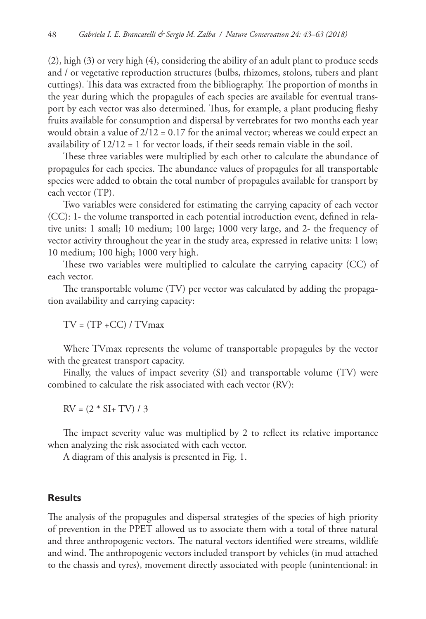(2), high (3) or very high (4), considering the ability of an adult plant to produce seeds and / or vegetative reproduction structures (bulbs, rhizomes, stolons, tubers and plant cuttings). This data was extracted from the bibliography. The proportion of months in the year during which the propagules of each species are available for eventual transport by each vector was also determined. Thus, for example, a plant producing fleshy fruits available for consumption and dispersal by vertebrates for two months each year would obtain a value of  $2/12 = 0.17$  for the animal vector; whereas we could expect an availability of 12/12 = 1 for vector loads, if their seeds remain viable in the soil.

These three variables were multiplied by each other to calculate the abundance of propagules for each species. The abundance values of propagules for all transportable species were added to obtain the total number of propagules available for transport by each vector (TP).

Two variables were considered for estimating the carrying capacity of each vector (CC): 1- the volume transported in each potential introduction event, defined in relative units: 1 small; 10 medium; 100 large; 1000 very large, and 2- the frequency of vector activity throughout the year in the study area, expressed in relative units: 1 low; 10 medium; 100 high; 1000 very high.

These two variables were multiplied to calculate the carrying capacity (CC) of each vector.

The transportable volume (TV) per vector was calculated by adding the propagation availability and carrying capacity:

 $TV = (TP + CC)/TV$ max

Where TVmax represents the volume of transportable propagules by the vector with the greatest transport capacity.

Finally, the values of impact severity (SI) and transportable volume (TV) were combined to calculate the risk associated with each vector (RV):

 $RV = (2 * SI + TV) / 3$ 

The impact severity value was multiplied by 2 to reflect its relative importance when analyzing the risk associated with each vector.

A diagram of this analysis is presented in Fig. 1.

# **Results**

The analysis of the propagules and dispersal strategies of the species of high priority of prevention in the PPET allowed us to associate them with a total of three natural and three anthropogenic vectors. The natural vectors identified were streams, wildlife and wind. The anthropogenic vectors included transport by vehicles (in mud attached to the chassis and tyres), movement directly associated with people (unintentional: in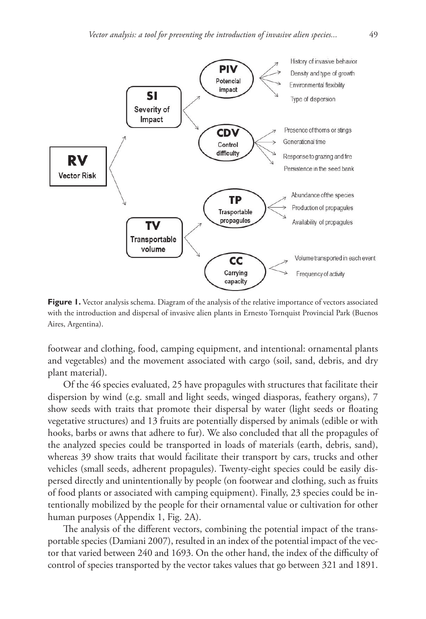

Figure 1. Vector analysis schema. Diagram of the analysis of the relative importance of vectors associated with the introduction and dispersal of invasive alien plants in Ernesto Tornquist Provincial Park (Buenos Aires, Argentina).

footwear and clothing, food, camping equipment, and intentional: ornamental plants and vegetables) and the movement associated with cargo (soil, sand, debris, and dry plant material).

Of the 46 species evaluated, 25 have propagules with structures that facilitate their dispersion by wind (e.g. small and light seeds, winged diasporas, feathery organs), 7 show seeds with traits that promote their dispersal by water (light seeds or floating vegetative structures) and 13 fruits are potentially dispersed by animals (edible or with hooks, barbs or awns that adhere to fur). We also concluded that all the propagules of the analyzed species could be transported in loads of materials (earth, debris, sand), whereas 39 show traits that would facilitate their transport by cars, trucks and other vehicles (small seeds, adherent propagules). Twenty-eight species could be easily dispersed directly and unintentionally by people (on footwear and clothing, such as fruits of food plants or associated with camping equipment). Finally, 23 species could be intentionally mobilized by the people for their ornamental value or cultivation for other human purposes (Appendix 1, Fig. 2A).

The analysis of the different vectors, combining the potential impact of the transportable species (Damiani 2007), resulted in an index of the potential impact of the vector that varied between 240 and 1693. On the other hand, the index of the difficulty of control of species transported by the vector takes values that go between 321 and 1891.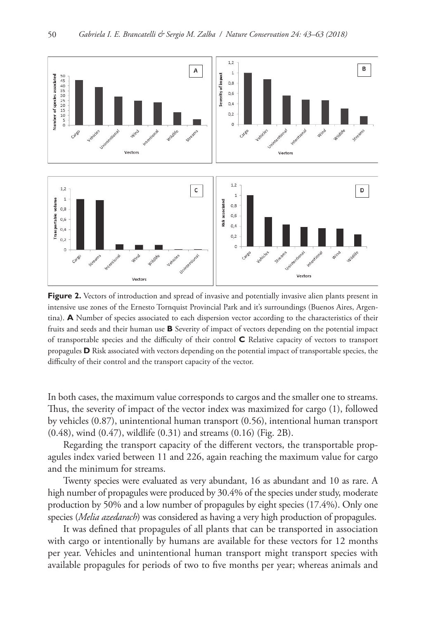

**Figure 2.** Vectors of introduction and spread of invasive and potentially invasive alien plants present in intensive use zones of the Ernesto Tornquist Provincial Park and it's surroundings (Buenos Aires, Argentina). **A** Number of species associated to each dispersion vector according to the characteristics of their fruits and seeds and their human use **B** Severity of impact of vectors depending on the potential impact of transportable species and the difficulty of their control **C** Relative capacity of vectors to transport propagules **D** Risk associated with vectors depending on the potential impact of transportable species, the difficulty of their control and the transport capacity of the vector.

In both cases, the maximum value corresponds to cargos and the smaller one to streams. Thus, the severity of impact of the vector index was maximized for cargo (1), followed by vehicles (0.87), unintentional human transport (0.56), intentional human transport (0.48), wind (0.47), wildlife (0.31) and streams (0.16) (Fig. 2B).

Regarding the transport capacity of the different vectors, the transportable propagules index varied between 11 and 226, again reaching the maximum value for cargo and the minimum for streams.

Twenty species were evaluated as very abundant, 16 as abundant and 10 as rare. A high number of propagules were produced by 30.4% of the species under study, moderate production by 50% and a low number of propagules by eight species (17.4%). Only one species (*Melia azedarach*) was considered as having a very high production of propagules.

It was defined that propagules of all plants that can be transported in association with cargo or intentionally by humans are available for these vectors for 12 months per year. Vehicles and unintentional human transport might transport species with available propagules for periods of two to five months per year; whereas animals and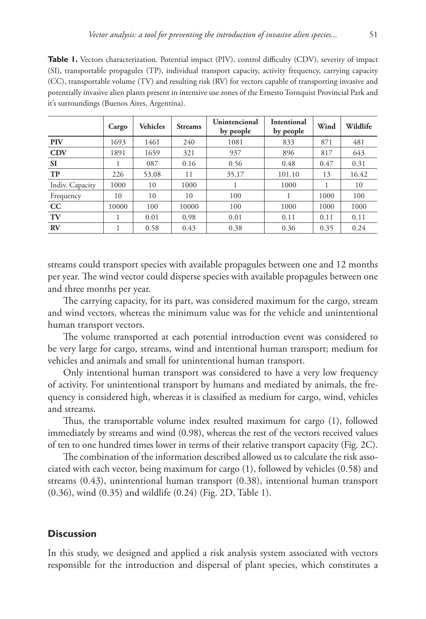**Table 1.** Vectors characterization. Potential impact (PIV), control difficulty (CDV), severity of impact (SI), transportable propagules (TP), individual transport capacity, activity frequency, carrying capacity (CC), transportable volume (TV) and resulting risk (RV) for vectors capable of transporting invasive and potentially invasive alien plants present in intensive use zones of the Ernesto Tornquist Provincial Park and it's surroundings (Buenos Aires, Argentina).

|                 | Cargo | <b>Vehicles</b> | <b>Streams</b> | Unintencional<br>by people | Intentional<br>by people | Wind | Wildlife |
|-----------------|-------|-----------------|----------------|----------------------------|--------------------------|------|----------|
| <b>PIV</b>      | 1693  | 1461            | 240            | 1081                       | 833                      | 871  | 481      |
| <b>CDV</b>      | 1891  | 1659            | 321            | 937                        | 896                      | 817  | 643      |
| <b>SI</b>       |       | 087             | 0.16           | 0.56                       | 0.48                     | 0.47 | 0.31     |
| <b>TP</b>       | 226   | 53.08           | 11             | 35.17                      | 101.10                   | 13   | 16.42    |
| Indiv. Capacity | 1000  | 10              | 1000           |                            | 1000                     |      | 10       |
| Frequency       | 10    | 10              | 10             | 100                        |                          | 1000 | 100      |
| CC              | 10000 | 100             | 10000          | 100                        | 1000                     | 1000 | 1000     |
| TV              |       | 0.01            | 0.98           | 0.01                       | 0.11                     | 0.11 | 0.11     |
| RV              |       | 0.58            | 0.43           | 0.38                       | 0.36                     | 0.35 | 0.24     |

streams could transport species with available propagules between one and 12 months per year. The wind vector could disperse species with available propagules between one and three months per year.

The carrying capacity, for its part, was considered maximum for the cargo, stream and wind vectors, whereas the minimum value was for the vehicle and unintentional human transport vectors.

The volume transported at each potential introduction event was considered to be very large for cargo, streams, wind and intentional human transport; medium for vehicles and animals and small for unintentional human transport.

Only intentional human transport was considered to have a very low frequency of activity. For unintentional transport by humans and mediated by animals, the frequency is considered high, whereas it is classified as medium for cargo, wind, vehicles and streams.

Thus, the transportable volume index resulted maximum for cargo (1), followed immediately by streams and wind (0.98), whereas the rest of the vectors received values of ten to one hundred times lower in terms of their relative transport capacity (Fig. 2C).

The combination of the information described allowed us to calculate the risk associated with each vector, being maximum for cargo (1), followed by vehicles (0.58) and streams (0.43), unintentional human transport (0.38), intentional human transport (0.36), wind (0.35) and wildlife (0.24) (Fig. 2D, Table 1).

## **Discussion**

In this study, we designed and applied a risk analysis system associated with vectors responsible for the introduction and dispersal of plant species, which constitutes a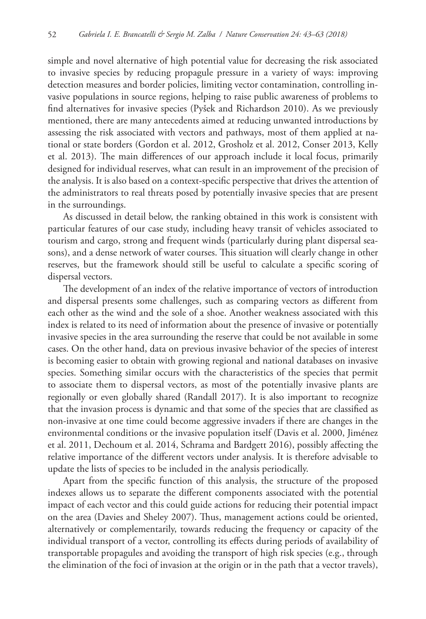simple and novel alternative of high potential value for decreasing the risk associated to invasive species by reducing propagule pressure in a variety of ways: improving detection measures and border policies, limiting vector contamination, controlling invasive populations in source regions, helping to raise public awareness of problems to find alternatives for invasive species (Pyšek and Richardson 2010). As we previously mentioned, there are many antecedents aimed at reducing unwanted introductions by assessing the risk associated with vectors and pathways, most of them applied at national or state borders (Gordon et al. 2012, Grosholz et al. 2012, Conser 2013, Kelly et al. 2013). The main differences of our approach include it local focus, primarily designed for individual reserves, what can result in an improvement of the precision of the analysis. It is also based on a context-specific perspective that drives the attention of the administrators to real threats posed by potentially invasive species that are present in the surroundings.

As discussed in detail below, the ranking obtained in this work is consistent with particular features of our case study, including heavy transit of vehicles associated to tourism and cargo, strong and frequent winds (particularly during plant dispersal seasons), and a dense network of water courses. This situation will clearly change in other reserves, but the framework should still be useful to calculate a specific scoring of dispersal vectors.

The development of an index of the relative importance of vectors of introduction and dispersal presents some challenges, such as comparing vectors as different from each other as the wind and the sole of a shoe. Another weakness associated with this index is related to its need of information about the presence of invasive or potentially invasive species in the area surrounding the reserve that could be not available in some cases. On the other hand, data on previous invasive behavior of the species of interest is becoming easier to obtain with growing regional and national databases on invasive species. Something similar occurs with the characteristics of the species that permit to associate them to dispersal vectors, as most of the potentially invasive plants are regionally or even globally shared (Randall 2017). It is also important to recognize that the invasion process is dynamic and that some of the species that are classified as non-invasive at one time could become aggressive invaders if there are changes in the environmental conditions or the invasive population itself (Davis et al. 2000, Jiménez et al. 2011, Dechoum et al. 2014, Schrama and Bardgett 2016), possibly affecting the relative importance of the different vectors under analysis. It is therefore advisable to update the lists of species to be included in the analysis periodically.

Apart from the specific function of this analysis, the structure of the proposed indexes allows us to separate the different components associated with the potential impact of each vector and this could guide actions for reducing their potential impact on the area (Davies and Sheley 2007). Thus, management actions could be oriented, alternatively or complementarily, towards reducing the frequency or capacity of the individual transport of a vector, controlling its effects during periods of availability of transportable propagules and avoiding the transport of high risk species (e.g., through the elimination of the foci of invasion at the origin or in the path that a vector travels),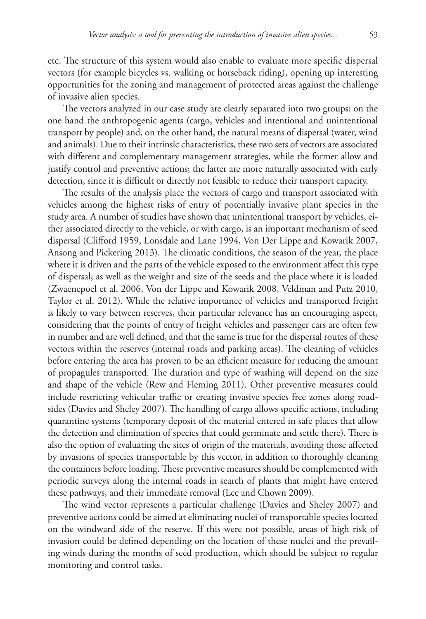etc. The structure of this system would also enable to evaluate more specific dispersal vectors (for example bicycles vs. walking or horseback riding), opening up interesting opportunities for the zoning and management of protected areas against the challenge of invasive alien species.

The vectors analyzed in our case study are clearly separated into two groups: on the one hand the anthropogenic agents (cargo, vehicles and intentional and unintentional transport by people) and, on the other hand, the natural means of dispersal (water, wind and animals). Due to their intrinsic characteristics, these two sets of vectors are associated with different and complementary management strategies, while the former allow and justify control and preventive actions; the latter are more naturally associated with early detection, since it is difficult or directly not feasible to reduce their transport capacity.

The results of the analysis place the vectors of cargo and transport associated with vehicles among the highest risks of entry of potentially invasive plant species in the study area. A number of studies have shown that unintentional transport by vehicles, either associated directly to the vehicle, or with cargo, is an important mechanism of seed dispersal (Clifford 1959, Lonsdale and Lane 1994, Von Der Lippe and Kowarik 2007, Ansong and Pickering 2013). The climatic conditions, the season of the year, the place where it is driven and the parts of the vehicle exposed to the environment affect this type of dispersal; as well as the weight and size of the seeds and the place where it is loaded (Zwaenepoel et al. 2006, Von der Lippe and Kowarik 2008, Veldman and Putz 2010, Taylor et al. 2012). While the relative importance of vehicles and transported freight is likely to vary between reserves, their particular relevance has an encouraging aspect, considering that the points of entry of freight vehicles and passenger cars are often few in number and are well defined, and that the same is true for the dispersal routes of these vectors within the reserves (internal roads and parking areas). The cleaning of vehicles before entering the area has proven to be an efficient measure for reducing the amount of propagules transported. The duration and type of washing will depend on the size and shape of the vehicle (Rew and Fleming 2011). Other preventive measures could include restricting vehicular traffic or creating invasive species free zones along roadsides (Davies and Sheley 2007). The handling of cargo allows specific actions, including quarantine systems (temporary deposit of the material entered in safe places that allow the detection and elimination of species that could germinate and settle there). There is also the option of evaluating the sites of origin of the materials, avoiding those affected by invasions of species transportable by this vector, in addition to thoroughly cleaning the containers before loading. These preventive measures should be complemented with periodic surveys along the internal roads in search of plants that might have entered these pathways, and their immediate removal (Lee and Chown 2009).

The wind vector represents a particular challenge (Davies and Sheley 2007) and preventive actions could be aimed at eliminating nuclei of transportable species located on the windward side of the reserve. If this were not possible, areas of high risk of invasion could be defined depending on the location of these nuclei and the prevailing winds during the months of seed production, which should be subject to regular monitoring and control tasks.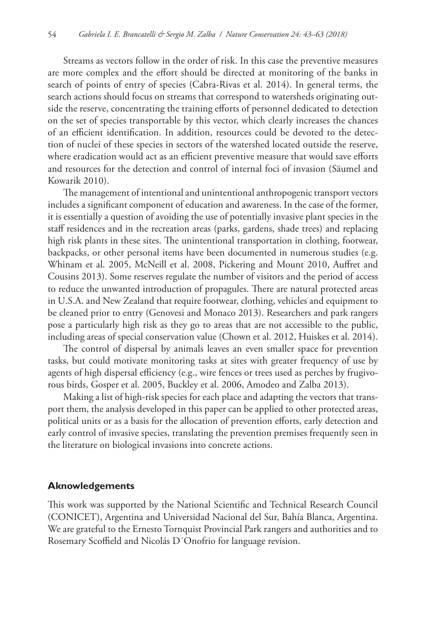Streams as vectors follow in the order of risk. In this case the preventive measures are more complex and the effort should be directed at monitoring of the banks in search of points of entry of species (Cabra-Rivas et al. 2014). In general terms, the search actions should focus on streams that correspond to watersheds originating outside the reserve, concentrating the training efforts of personnel dedicated to detection on the set of species transportable by this vector, which clearly increases the chances of an efficient identification. In addition, resources could be devoted to the detection of nuclei of these species in sectors of the watershed located outside the reserve, where eradication would act as an efficient preventive measure that would save efforts and resources for the detection and control of internal foci of invasion (Säumel and Kowarik 2010).

The management of intentional and unintentional anthropogenic transport vectors includes a significant component of education and awareness. In the case of the former, it is essentially a question of avoiding the use of potentially invasive plant species in the staff residences and in the recreation areas (parks, gardens, shade trees) and replacing high risk plants in these sites. The unintentional transportation in clothing, footwear, backpacks, or other personal items have been documented in numerous studies (e.g. Whinam et al. 2005, McNeill et al. 2008, Pickering and Mount 2010, Auffret and Cousins 2013). Some reserves regulate the number of visitors and the period of access to reduce the unwanted introduction of propagules. There are natural protected areas in U.S.A. and New Zealand that require footwear, clothing, vehicles and equipment to be cleaned prior to entry (Genovesi and Monaco 2013). Researchers and park rangers pose a particularly high risk as they go to areas that are not accessible to the public, including areas of special conservation value (Chown et al. 2012, Huiskes et al. 2014).

The control of dispersal by animals leaves an even smaller space for prevention tasks, but could motivate monitoring tasks at sites with greater frequency of use by agents of high dispersal efficiency (e.g., wire fences or trees used as perches by frugivorous birds, Gosper et al. 2005, Buckley et al. 2006, Amodeo and Zalba 2013).

Making a list of high-risk species for each place and adapting the vectors that transport them, the analysis developed in this paper can be applied to other protected areas, political units or as a basis for the allocation of prevention efforts, early detection and early control of invasive species, translating the prevention premises frequently seen in the literature on biological invasions into concrete actions.

#### **Aknowledgements**

This work was supported by the National Scientific and Technical Research Council (CONICET), Argentina and Universidad Nacional del Sur, Bahía Blanca, Argentina. We are grateful to the Ernesto Tornquist Provincial Park rangers and authorities and to Rosemary Scoffield and Nicolás D´Onofrio for language revision.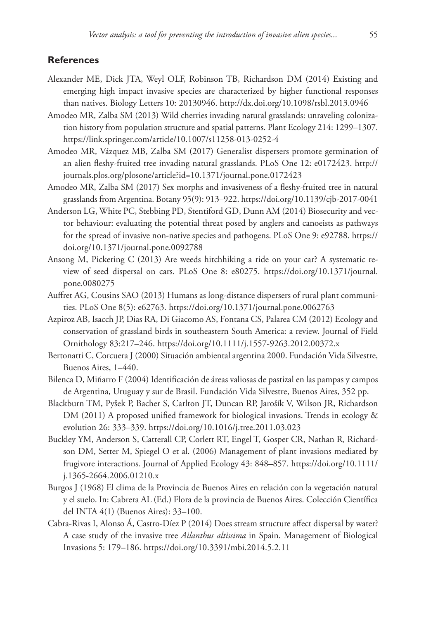#### **References**

- Alexander ME, Dick JTA, Weyl OLF, Robinson TB, Richardson DM (2014) Existing and emerging high impact invasive species are characterized by higher functional responses than natives. Biology Letters 10: 20130946. <http://dx.doi.org/10.1098/rsbl.2013.0946>
- Amodeo MR, Zalba SM (2013) Wild cherries invading natural grasslands: unraveling colonization history from population structure and spatial patterns. Plant Ecology 214: 1299–1307. <https://link.springer.com/article/10.1007/s11258-013-0252-4>
- Amodeo MR, Vázquez MB, Zalba SM (2017) Generalist dispersers promote germination of an alien fleshy-fruited tree invading natural grasslands. PLoS One 12: e0172423. [http://](http://journals.plos.org/plosone/article?id=10.1371/journal.pone.0172423) [journals.plos.org/plosone/article?id=10.1371/journal.pone.0172423](http://journals.plos.org/plosone/article?id=10.1371/journal.pone.0172423)
- Amodeo MR, Zalba SM (2017) Sex morphs and invasiveness of a fleshy-fruited tree in natural grasslands from Argentina. Botany 95(9): 913–922.<https://doi.org/10.1139/cjb-2017-0041>
- Anderson LG, White PC, Stebbing PD, Stentiford GD, Dunn AM (2014) Biosecurity and vector behaviour: evaluating the potential threat posed by anglers and canoeists as pathways for the spread of invasive non-native species and pathogens. PLoS One 9: e92788. [https://](https://doi.org/10.1371/journal.pone.0092788) [doi.org/10.1371/journal.pone.0092788](https://doi.org/10.1371/journal.pone.0092788)
- Ansong M, Pickering C (2013) Are weeds hitchhiking a ride on your car? A systematic review of seed dispersal on cars. PLoS One 8: e80275. [https://doi.org/10.1371/journal.](https://doi.org/10.1371/journal.pone.0080275) [pone.0080275](https://doi.org/10.1371/journal.pone.0080275)
- Auffret AG, Cousins SAO (2013) Humans as long-distance dispersers of rural plant communities. PLoS One 8(5): e62763. <https://doi.org/10.1371/journal.pone.0062763>
- Azpiroz AB, Isacch JP, Dias RA, Di Giacomo AS, Fontana CS, Palarea CM (2012) Ecology and conservation of grassland birds in southeastern South America: a review. Journal of Field Ornithology 83:217–246. <https://doi.org/10.1111/j.1557-9263.2012.00372.x>
- Bertonatti C, Corcuera J (2000) Situación ambiental argentina 2000. Fundación Vida Silvestre, Buenos Aires, 1–440.
- Bilenca D, Miñarro F (2004) Identificación de áreas valiosas de pastizal en las pampas y campos de Argentina, Uruguay y sur de Brasil. Fundación Vida Silvestre, Buenos Aires, 352 pp.
- Blackburn TM, Pyšek P, Bacher S, Carlton JT, Duncan RP, Jarošík V, Wilson JR, Richardson DM (2011) A proposed unified framework for biological invasions. Trends in ecology & evolution 26: 333–339.<https://doi.org/10.1016/j.tree.2011.03.023>
- Buckley YM, Anderson S, Catterall CP, Corlett RT, Engel T, Gosper CR, Nathan R, Richardson DM, Setter M, Spiegel O et al. (2006) Management of plant invasions mediated by frugivore interactions. Journal of Applied Ecology 43: 848–857. [https://doi.org/10.1111/](https://doi.org/10.1111/j.1365-2664.2006.01210.x) [j.1365-2664.2006.01210.x](https://doi.org/10.1111/j.1365-2664.2006.01210.x)
- Burgos J (1968) El clima de la Provincia de Buenos Aires en relación con la vegetación natural y el suelo. In: Cabrera AL (Ed.) Flora de la provincia de Buenos Aires. Colección Científica del INTA 4(1) (Buenos Aires): 33–100.
- Cabra-Rivas I, Alonso Á, Castro-Díez P (2014) Does stream structure affect dispersal by water? A case study of the invasive tree *Ailanthus altissima* in Spain. Management of Biological Invasions 5: 179–186. <https://doi.org/10.3391/mbi.2014.5.2.11>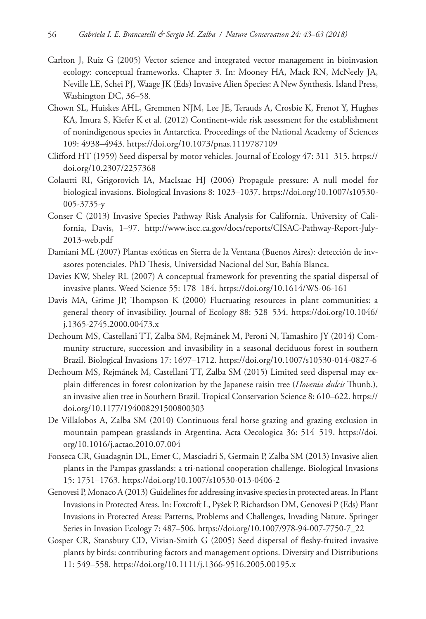- Carlton J, Ruiz G (2005) Vector science and integrated vector management in bioinvasion ecology: conceptual frameworks. Chapter 3. In: Mooney HA, Mack RN, McNeely JA, Neville LE, Schei PJ, Waage JK (Eds) Invasive Alien Species: A New Synthesis. Island Press, Washington DC, 36–58.
- Chown SL, Huiskes AHL, Gremmen NJM, Lee JE, Terauds A, Crosbie K, Frenot Y, Hughes KA, Imura S, Kiefer K et al. (2012) Continent-wide risk assessment for the establishment of nonindigenous species in Antarctica. Proceedings of the National Academy of Sciences 109: 4938–4943.<https://doi.org/10.1073/pnas.1119787109>
- Clifford HT (1959) Seed dispersal by motor vehicles. Journal of Ecology 47: 311–315. [https://](https://doi.org/10.2307/2257368) [doi.org/10.2307/2257368](https://doi.org/10.2307/2257368)
- Colautti RI, Grigorovich IA, MacIsaac HJ (2006) Propagule pressure: A null model for biological invasions. Biological Invasions 8: 1023–1037. [https://doi.org/10.1007/s10530-](https://doi.org/10.1007/s10530-005-3735-y) [005-3735-y](https://doi.org/10.1007/s10530-005-3735-y)
- Conser C (2013) Invasive Species Pathway Risk Analysis for California. University of California, Davis, 1–97. [http://www.iscc.ca.gov/docs/reports/CISAC-Pathway-Report-July-](http://www.iscc.ca.gov/docs/reports/CISAC-Pathway-Report-July-2013-web.pdf)[2013-web.pdf](http://www.iscc.ca.gov/docs/reports/CISAC-Pathway-Report-July-2013-web.pdf)
- Damiani ML (2007) Plantas exóticas en Sierra de la Ventana (Buenos Aires): detección de invasores potenciales. PhD Thesis, Universidad Nacional del Sur, Bahía Blanca.
- Davies KW, Sheley RL (2007) A conceptual framework for preventing the spatial dispersal of invasive plants. Weed Science 55: 178–184. <https://doi.org/10.1614/WS-06-161>
- Davis MA, Grime JP, Thompson K (2000) Fluctuating resources in plant communities: a general theory of invasibility. Journal of Ecology 88: 528–534. [https://doi.org/10.1046/](https://doi.org/10.1046/j.1365-2745.2000.00473.x) [j.1365-2745.2000.00473.x](https://doi.org/10.1046/j.1365-2745.2000.00473.x)
- Dechoum MS, Castellani TT, Zalba SM, Rejmánek M, Peroni N, Tamashiro JY (2014) Community structure, succession and invasibility in a seasonal deciduous forest in southern Brazil. Biological Invasions 17: 1697–1712. <https://doi.org/10.1007/s10530-014-0827-6>
- Dechoum MS, Rejmánek M, Castellani TT, Zalba SM (2015) Limited seed dispersal may explain differences in forest colonization by the Japanese raisin tree (*Hovenia dulcis* Thunb.), an invasive alien tree in Southern Brazil. Tropical Conservation Science 8: 610–622. [https://](https://doi.org/10.1177/194008291500800303) [doi.org/10.1177/194008291500800303](https://doi.org/10.1177/194008291500800303)
- De Villalobos A, Zalba SM (2010) Continuous feral horse grazing and grazing exclusion in mountain pampean grasslands in Argentina. Acta Oecologica 36: 514–519. [https://doi.](https://doi.org/10.1016/j.actao.2010.07.004) [org/10.1016/j.actao.2010.07.004](https://doi.org/10.1016/j.actao.2010.07.004)
- Fonseca CR, Guadagnin DL, Emer C, Masciadri S, Germain P, Zalba SM (2013) Invasive alien plants in the Pampas grasslands: a tri-national cooperation challenge. Biological Invasions 15: 1751–1763.<https://doi.org/10.1007/s10530-013-0406-2>
- Genovesi P, Monaco A (2013) Guidelines for addressing invasive species in protected areas. In Plant Invasions in Protected Areas. In: Foxcroft L, Pyšek P, Richardson DM, Genovesi P (Eds) Plant Invasions in Protected Areas: Patterns, Problems and Challenges, Invading Nature. Springer Series in Invasion Ecology 7: 487–506. [https://doi.org/10.1007/978-94-007-7750-7\\_22](https://doi.org/10.1007/978-94-007-7750-7_22)
- Gosper CR, Stansbury CD, Vivian-Smith G (2005) Seed dispersal of fleshy-fruited invasive plants by birds: contributing factors and management options. Diversity and Distributions 11: 549–558.<https://doi.org/10.1111/j.1366-9516.2005.00195.x>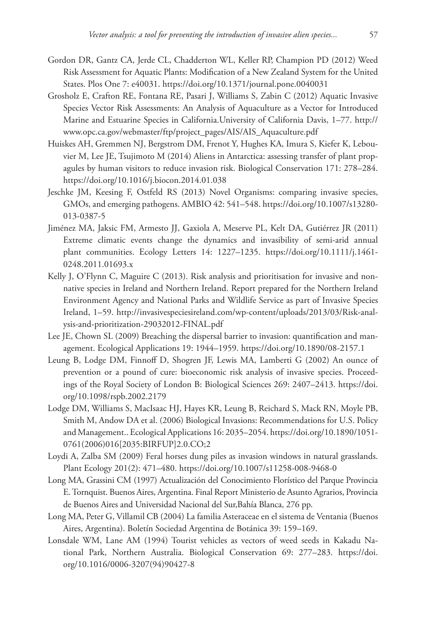- Gordon DR, Gantz CA, Jerde CL, Chadderton WL, Keller RP, Champion PD (2012) Weed Risk Assessment for Aquatic Plants: Modification of a New Zealand System for the United States. Plos One 7: e40031. <https://doi.org/10.1371/journal.pone.0040031>
- Grosholz E, Crafton RE, Fontana RE, Pasari J, Williams S, Zabin C (2012) Aquatic Invasive Species Vector Risk Assessments: An Analysis of Aquaculture as a Vector for Introduced Marine and Estuarine Species in California.University of California Davis, 1–77. [http://](http://www.opc.ca.gov/webmaster/ftp/project_pages/AIS/AIS_Aquaculture.pdf) [www.opc.ca.gov/webmaster/ftp/project\\_pages/AIS/AIS\\_Aquaculture.pdf](http://www.opc.ca.gov/webmaster/ftp/project_pages/AIS/AIS_Aquaculture.pdf)
- Huiskes AH, Gremmen NJ, Bergstrom DM, Frenot Y, Hughes KA, Imura S, Kiefer K, Lebouvier M, Lee JE, Tsujimoto M (2014) Aliens in Antarctica: assessing transfer of plant propagules by human visitors to reduce invasion risk. Biological Conservation 171: 278–284. <https://doi.org/10.1016/j.biocon.2014.01.038>
- Jeschke JM, Keesing F, Ostfeld RS (2013) Novel Organisms: comparing invasive species, GMOs, and emerging pathogens. AMBIO 42: 541–548. [https://doi.org/10.1007/s13280-](https://doi.org/10.1007/s13280-013-0387-5) [013-0387-5](https://doi.org/10.1007/s13280-013-0387-5)
- Jiménez MA, Jaksic FM, Armesto JJ, Gaxiola A, Meserve PL, Kelt DA, Gutiérrez JR (2011) Extreme climatic events change the dynamics and invasibility of semi-arid annual plant communities. Ecology Letters 14: 1227–1235. [https://doi.org/10.1111/j.1461-](https://doi.org/10.1111/j.1461-0248.2011.01693.x) [0248.2011.01693.x](https://doi.org/10.1111/j.1461-0248.2011.01693.x)
- Kelly J, O'Flynn C, Maguire C (2013). Risk analysis and prioritisation for invasive and nonnative species in Ireland and Northern Ireland. Report prepared for the Northern Ireland Environment Agency and National Parks and Wildlife Service as part of Invasive Species Ireland, 1–59. [http://invasivespeciesireland.com/wp-content/uploads/2013/03/Risk-anal](http://invasivespeciesireland.com/wp-content/uploads/2013/03/Risk-analysis-and-prioritization-29032012-FINAL.pdf)[ysis-and-prioritization-29032012-FINAL.pdf](http://invasivespeciesireland.com/wp-content/uploads/2013/03/Risk-analysis-and-prioritization-29032012-FINAL.pdf)
- Lee JE, Chown SL (2009) Breaching the dispersal barrier to invasion: quantification and management. Ecological Applications 19: 1944–1959. <https://doi.org/10.1890/08-2157.1>
- Leung B, Lodge DM, Finnoff D, Shogren JF, Lewis MA, Lamberti G (2002) An ounce of prevention or a pound of cure: bioeconomic risk analysis of invasive species. Proceedings of the Royal Society of London B: Biological Sciences 269: 2407–2413. [https://doi.](https://doi.org/10.1098/rspb.2002.2179) [org/10.1098/rspb.2002.2179](https://doi.org/10.1098/rspb.2002.2179)
- Lodge DM, Williams S, MacIsaac HJ, Hayes KR, Leung B, Reichard S, Mack RN, Moyle PB, Smith M, Andow DA et al. (2006) Biological Invasions: Recommendations for U.S. Policy and Management.. Ecological Applications 16: 2035–2054. [https://doi.org/10.1890/1051-](https://doi.org/10.1890/1051-0761(2006)016%5B2035:BIRFUP%5D2.0.CO;2) [0761\(2006\)016\[2035:BIRFUP\]2.0.CO;2](https://doi.org/10.1890/1051-0761(2006)016%5B2035:BIRFUP%5D2.0.CO;2)
- Loydi A, Zalba SM (2009) Feral horses dung piles as invasion windows in natural grasslands. Plant Ecology 201(2): 471–480. <https://doi.org/10.1007/s11258-008-9468-0>
- Long MA, Grassini CM (1997) Actualización del Conocimiento Florístico del Parque Provincia E. Tornquist. Buenos Aires, Argentina. Final Report Ministerio de Asunto Agrarios, Provincia de Buenos Aires and Universidad Nacional del Sur,Bahía Blanca, 276 pp.
- Long MA, Peter G, Villamil CB (2004) La familia Asteraceae en el sistema de Ventania (Buenos Aires, Argentina). Boletín Sociedad Argentina de Botánica 39: 159–169.
- Lonsdale WM, Lane AM (1994) Tourist vehicles as vectors of weed seeds in Kakadu National Park, Northern Australia. Biological Conservation 69: 277–283. [https://doi.](https://doi.org/10.1016/0006-3207(94)90427-8) [org/10.1016/0006-3207\(94\)90427-8](https://doi.org/10.1016/0006-3207(94)90427-8)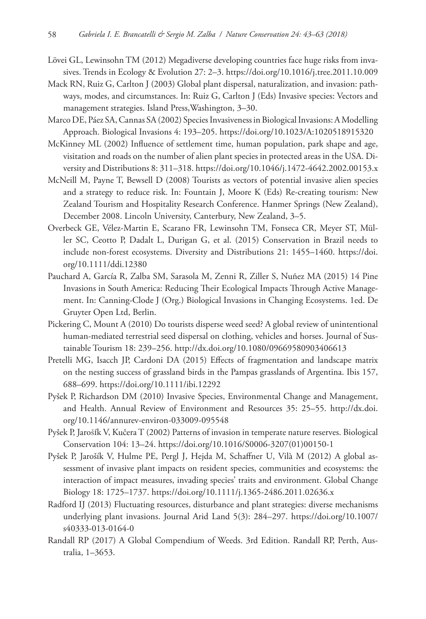- Lövei GL, Lewinsohn TM (2012) Megadiverse developing countries face huge risks from invasives. Trends in Ecology & Evolution 27: 2–3.<https://doi.org/10.1016/j.tree.2011.10.009>
- Mack RN, Ruiz G, Carlton J (2003) Global plant dispersal, naturalization, and invasion: pathways, modes, and circumstances. In: Ruiz G, Carlton J (Eds) Invasive species: Vectors and management strategies. Island Press,Washington, 3–30.
- Marco DE, Páez SA, Cannas SA (2002) Species Invasiveness in Biological Invasions: A Modelling Approach. Biological Invasions 4: 193–205.<https://doi.org/10.1023/A:1020518915320>
- McKinney ML (2002) Influence of settlement time, human population, park shape and age, visitation and roads on the number of alien plant species in protected areas in the USA. Diversity and Distributions 8: 311–318.<https://doi.org/10.1046/j.1472-4642.2002.00153.x>
- McNeill M, Payne T, Bewsell D (2008) Tourists as vectors of potential invasive alien species and a strategy to reduce risk. In: Fountain J, Moore K (Eds) Re-creating tourism: New Zealand Tourism and Hospitality Research Conference. Hanmer Springs (New Zealand), December 2008. Lincoln University, Canterbury, New Zealand, 3–5.
- Overbeck GE, Vélez-Martin E, Scarano FR, Lewinsohn TM, Fonseca CR, Meyer ST, Müller SC, Ceotto P, Dadalt L, Durigan G, et al. (2015) Conservation in Brazil needs to include non-forest ecosystems. Diversity and Distributions 21: 1455–1460. [https://doi.](https://doi.org/10.1111/ddi.12380) [org/10.1111/ddi.12380](https://doi.org/10.1111/ddi.12380)
- Pauchard A, García R, Zalba SM, Sarasola M, Zenni R, Ziller S, Nuñez MA (2015) 14 Pine Invasions in South America: Reducing Their Ecological Impacts Through Active Management. In: Canning-Clode J (Org.) Biological Invasions in Changing Ecosystems. 1ed. De Gruyter Open Ltd, Berlin.
- Pickering C, Mount A (2010) Do tourists disperse weed seed? A global review of unintentional human-mediated terrestrial seed dispersal on clothing, vehicles and horses. Journal of Sustainable Tourism 18: 239–256. <http://dx.doi.org/10.1080/09669580903406613>
- Pretelli MG, Isacch JP, Cardoni DA (2015) Effects of fragmentation and landscape matrix on the nesting success of grassland birds in the Pampas grasslands of Argentina. Ibis 157, 688–699.<https://doi.org/10.1111/ibi.12292>
- Pyšek P, Richardson DM (2010) Invasive Species, Environmental Change and Management, and Health. Annual Review of Environment and Resources 35: 25–55. [http://dx.doi.](http://dx.doi.org/10.1146/annurev-environ-033009-095548) [org/10.1146/annurev-environ-033009-095548](http://dx.doi.org/10.1146/annurev-environ-033009-095548)
- Pyšek P, JarošÍk V, Kučera T (2002) Patterns of invasion in temperate nature reserves. Biological Conservation 104: 13–24. [https://doi.org/10.1016/S0006-3207\(01\)00150-1](https://doi.org/10.1016/S0006-3207(01)00150-1)
- Pyšek P, Jarošík V, Hulme PE, Pergl J, Hejda M, Schaffner U, Vilà M (2012) A global assessment of invasive plant impacts on resident species, communities and ecosystems: the interaction of impact measures, invading species' traits and environment. Global Change Biology 18: 1725–1737.<https://doi.org/10.1111/j.1365-2486.2011.02636.x>
- Radford IJ (2013) Fluctuating resources, disturbance and plant strategies: diverse mechanisms underlying plant invasions. Journal Arid Land 5(3): 284–297. [https://doi.org/10.1007/](https://doi.org/10.1007/s40333-013-0164-0) [s40333-013-0164-0](https://doi.org/10.1007/s40333-013-0164-0)
- Randall RP (2017) A Global Compendium of Weeds. 3rd Edition. Randall RP, Perth, Australia, 1–3653.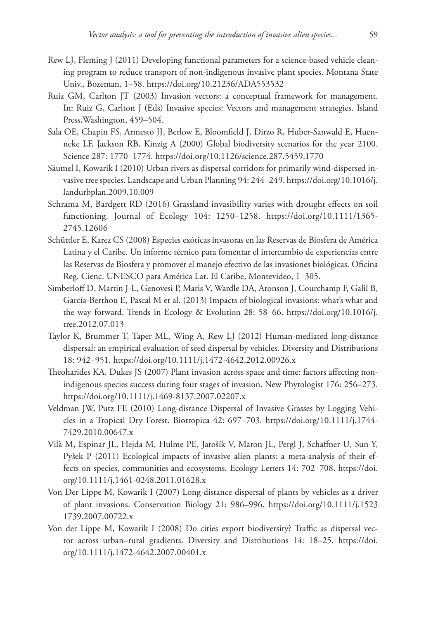- Rew LJ, Fleming J (2011) Developing functional parameters for a science-based vehicle cleaning program to reduce transport of non-indigenous invasive plant species. Montana State Univ., Bozeman, 1–58.<https://doi.org/10.21236/ADA553532>
- Ruiz GM, Carlton JT (2003) Invasion vectors: a conceptual framework for management. In: Ruiz G, Carlton J (Eds) Invasive species: Vectors and management strategies. Island Press,Washington, 459–504.
- Sala OE, Chapin FS, Armesto JJ, Berlow E, Bloomfield J, Dirzo R, Huber-Sanwald E, Huenneke LF, Jackson RB, Kinzig A (2000) Global biodiversity scenarios for the year 2100. Science 287: 1770–1774. <https://doi.org/10.1126/science.287.5459.1770>
- Säumel I, Kowarik I (2010) Urban rivers as dispersal corridors for primarily wind-dispersed invasive tree species. Landscape and Urban Planning 94: 244–249. [https://doi.org/10.1016/j.](https://doi.org/10.1016/j.landurbplan.2009.10.009) [landurbplan.2009.10.009](https://doi.org/10.1016/j.landurbplan.2009.10.009)
- Schrama M, Bardgett RD (2016) Grassland invasibility varies with drought effects on soil functioning. Journal of Ecology 104: 1250–1258. [https://doi.org/10.1111/1365-](https://doi.org/10.1111/1365-2745.12606) [2745.12606](https://doi.org/10.1111/1365-2745.12606)
- Schüttler E, Karez CS (2008) Especies exóticas invasoras en las Reservas de Biosfera de América Latina y el Caribe. Un informe técnico para fomentar el intercambio de experiencias entre las Reservas de Biosfera y promover el manejo efectivo de las invasiones biológicas. Oficina Reg. Cienc. UNESCO para América Lat. El Caribe, Montevideo, 1–305.
- Simberloff D, Martin J-L, Genovesi P, Maris V, Wardle DA, Aronson J, Courchamp F, Galil B, García-Berthou E, Pascal M et al. (2013) Impacts of biological invasions: what's what and the way forward. Trends in Ecology & Evolution 28: 58–66. [https://doi.org/10.1016/j.](https://doi.org/10.1016/j.tree.2012.07.013) [tree.2012.07.013](https://doi.org/10.1016/j.tree.2012.07.013)
- Taylor K, Brummer T, Taper ML, Wing A, Rew LJ (2012) Human-mediated long-distance dispersal: an empirical evaluation of seed dispersal by vehicles. Diversity and Distributions 18: 942–951.<https://doi.org/10.1111/j.1472-4642.2012.00926.x>
- Theoharides KA, Dukes JS (2007) Plant invasion across space and time: factors affecting nonindigenous species success during four stages of invasion. New Phytologist 176: 256–273. <https://doi.org/10.1111/j.1469-8137.2007.02207.x>
- Veldman JW, Putz FE (2010) Long-distance Dispersal of Invasive Grasses by Logging Vehicles in a Tropical Dry Forest. Biotropica 42: 697–703. [https://doi.org/10.1111/j.1744-](https://doi.org/10.1111/j.1744-7429.2010.00647.x) [7429.2010.00647.x](https://doi.org/10.1111/j.1744-7429.2010.00647.x)
- Vilà M, Espinar JL, Hejda M, Hulme PE, Jarošík V, Maron JL, Pergl J, Schaffner U, Sun Y, Pyšek P (2011) Ecological impacts of invasive alien plants: a meta-analysis of their effects on species, communities and ecosystems. Ecology Letters 14: 702–708. [https://doi.](https://doi.org/10.1111/j.1461-0248.2011.01628.x) [org/10.1111/j.1461-0248.2011.01628.x](https://doi.org/10.1111/j.1461-0248.2011.01628.x)
- Von Der Lippe M, Kowarik I (2007) Long-distance dispersal of plants by vehicles as a driver of plant invasions. Conservation Biology 21: 986–996. <https://doi.org/10.1111/j.1523> 1739.2007.00722.x
- Von der Lippe M, Kowarik I (2008) Do cities export biodiversity? Traffic as dispersal vector across urban–rural gradients. Diversity and Distributions 14: 18–25. [https://doi.](https://doi.org/10.1111/j.1472-4642.2007.00401.x) [org/10.1111/j.1472-4642.2007.00401.x](https://doi.org/10.1111/j.1472-4642.2007.00401.x)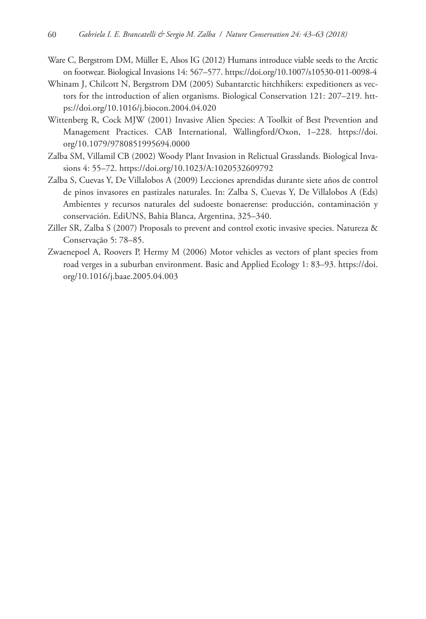- Ware C, Bergstrom DM, Müller E, Alsos IG (2012) Humans introduce viable seeds to the Arctic on footwear. Biological Invasions 14: 567–577.<https://doi.org/10.1007/s10530-011-0098-4>
- Whinam J, Chilcott N, Bergstrom DM (2005) Subantarctic hitchhikers: expeditioners as vectors for the introduction of alien organisms. Biological Conservation 121: 207–219. [htt](https://doi.org/10.1016/j.biocon.2004.04.020)[ps://doi.org/10.1016/j.biocon.2004.04.020](https://doi.org/10.1016/j.biocon.2004.04.020)
- Wittenberg R, Cock MJW (2001) Invasive Alien Species: A Toolkit of Best Prevention and Management Practices. CAB International, Wallingford/Oxon, 1–228. [https://doi.](https://doi.org/10.1079/9780851995694.0000) [org/10.1079/9780851995694.0000](https://doi.org/10.1079/9780851995694.0000)
- Zalba SM, Villamil CB (2002) Woody Plant Invasion in Relictual Grasslands. Biological Invasions 4: 55–72.<https://doi.org/10.1023/A:1020532609792>
- Zalba S, Cuevas Y, De Villalobos A (2009) Lecciones aprendidas durante siete años de control de pinos invasores en pastizales naturales. In: Zalba S, Cuevas Y, De Villalobos A (Eds) Ambientes y recursos naturales del sudoeste bonaerense: producción, contaminación y conservación. EdiUNS, Bahia Blanca, Argentina, 325–340.
- Ziller SR, Zalba S (2007) Proposals to prevent and control exotic invasive species. Natureza & Conservação 5: 78–85.
- Zwaenepoel A, Roovers P, Hermy M (2006) Motor vehicles as vectors of plant species from road verges in a suburban environment. Basic and Applied Ecology 1: 83–93. [https://doi.](https://doi.org/10.1016/j.baae.2005.04.003) [org/10.1016/j.baae.2005.04.003](https://doi.org/10.1016/j.baae.2005.04.003)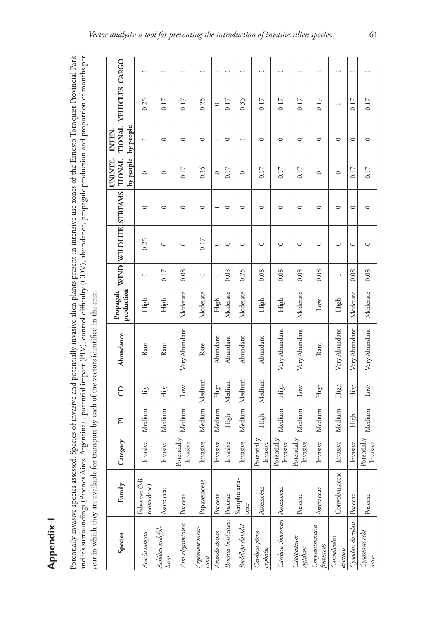Appendix 1 **Appendix 1**

Potentially invasive species assessed. Species of invasive and potentially invasive alien plants present in intensive use zones of the Ernesto Tomquist Provincial Park and it's surroundings (Buenos Aires, Argentina)., potential impact (PIV), control difficulty (CDV), abundance, propagule production and proportion of months per Potentially invasive species assessed. Species of invasive and potentially invasive alien plants present in intensive use zones of the Ernesto Tornquist Provincial Park and it's surroundings (Buenos Aires, Argentina)., potential impact (PIV), control difficulty (CDV), abundance, propagule production and proportion of months per year in which they are available for transport by each of the vectors identified in the area. year in which they are available for transport by each of the vectors identified in the area.

|                                       |                             |                           |                         |                        | $\overline{ }$           |                           |                       |                            |                              |                         |                             |                         | $\overline{\phantom{0}}$ |                          |
|---------------------------------------|-----------------------------|---------------------------|-------------------------|------------------------|--------------------------|---------------------------|-----------------------|----------------------------|------------------------------|-------------------------|-----------------------------|-------------------------|--------------------------|--------------------------|
| TIONAL VEHICLES CARGO                 | 0.25                        | 0.17                      | 0.17                    | 0.25                   | $\circ$                  | 0.17                      | 0.33                  | 0.17                       | 0.17                         | 0.17                    | 0.17                        |                         | 0.17                     | 0.17                     |
| by people<br><b>NTEN-</b>             |                             | $\circ$                   | $\circ$                 | $\circ$                |                          | $\circ$                   |                       | $\circ$                    | $\circ$                      | $\circ$                 | $\circ$                     | $\circ$                 | $\circ$                  | $\circ$                  |
| by people<br><b>UNINTE-</b><br>TIONAL | $\circ$                     | $\circ$                   | 0.17                    | 0.25                   | $\circ$                  | 0.17                      | $\circ$               | 0.17                       | 0.17                         | 0.17                    | 0                           | $\circ$                 | 0.17                     | 0.17                     |
|                                       | $\circ$                     | $\circ$                   | $\circ$                 | $\circ$                | $\overline{\phantom{0}}$ | $\circ$                   | $\circ$               | $\circ$                    | $\circ$                      | $\circ$                 | $\circ$                     | $\circ$                 | $\circ$                  | $\circ$                  |
| WIND WILDLIFE STREAMS                 | 0.25                        | $\circ$                   | $\circ$                 | 0.17                   | $\circ$                  | $\circ$                   | $\circ$               | $\circ$                    | $\circ$                      | $\circ$                 | $\circ$                     | $\circ$                 | $\circ$                  | $\circ$                  |
|                                       | $\circ$                     | 0.17                      | 0.08                    | $\circ$                | $\circ$                  | 0.08                      | 0.25                  | 0.08                       | 0.08                         | 0.08                    | 0.08                        | $\circ$                 | 0.08                     | 0.08                     |
| production<br>Propagule               | High                        | High                      | Moderate                | Moderate               | High                     | Moderate                  | Moderate              | High                       | High                         | Moderate                | $_{\rm Low}$                | High                    | Moderate                 | Moderate                 |
| Abundance                             | Rare                        | Rare                      | Very Abundant           | Rare                   | Abundant                 | Abundant                  | Abundant              | Abundant                   | Very Abundant                | Very Abundant           | Rare                        | Very Abundant           | Very Abundant            | Very Abundant            |
| 8                                     | High                        | High                      | $_{\rm Low}$            | Medium                 | High                     | Medium                    | Medium                | Medium                     | High                         | $_{\rm Low}$            | High                        | High                    | High                     | Low                      |
| $\mathbf{I}$                          | Medium                      | Medium                    | Medium                  | Medium                 | Medium                   | High                      | Medium                | High                       | Medium                       | Medium                  | Medium                      | Medium                  | High                     | Medium                   |
| Category                              | Invasive                    | Invasive                  | Potentially<br>Invasive | Invasive               | Invasive                 | Invasive                  | Invasive              | Potentially<br>Invasive    | Potentially<br>Invasive      | Potentially<br>Invasive | Invasive                    | Invasive                | Invasive                 | Potentially<br>Invasive  |
| Family                                | Fabaceae (Mi-<br>mosoideae) | Asteraceae                | Poaceae                 | Papaveraceae           | Poaceae                  |                           | Scrophularia-<br>ceae | Asteraceae                 |                              | Poaceae                 | Asteraceae                  | Convolvulaceae          | Poaceae                  | Poaceae                  |
| Species                               | Acacia saligna              | Achillea milefol-<br>lium | Aira elegantísima       | Argemone mexi-<br>cana | Arundo donax             | Bromus hordeaceus Poaceae | Buddleja davidii      | Carduus picno-<br>cephalus | Carduus thoermeri Asteraceae | Catapodium<br>rigidum   | Chrysanthemum<br>frutescens | Convolvulus<br>arvensis | Cynodon dactylon         | Cynosurus echi-<br>natus |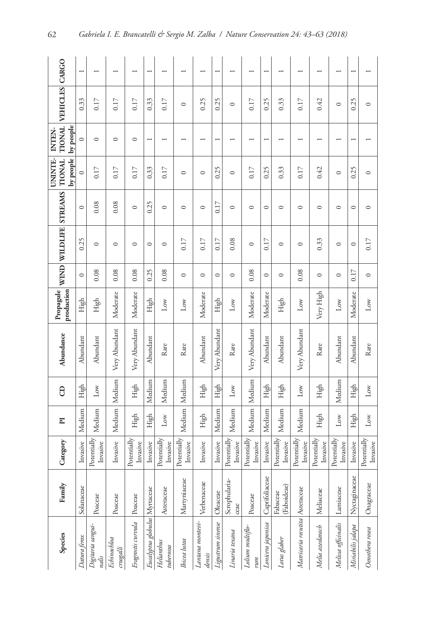| UNINTE-<br>by people<br>$\circ$<br>$\circ$<br>0.25 | WIND WILDLIFE STREAMS TIONAL | Propagule<br>production | Abundance<br>$\theta$    | $\overline{\mathbf{p}}$   | Category                             |
|----------------------------------------------------|------------------------------|-------------------------|--------------------------|---------------------------|--------------------------------------|
|                                                    | $\circ$                      | High                    | Abundant<br>High         | Medium                    | Invasive                             |
|                                                    | 0.08                         | High                    | Abundant<br>$_{\rm Low}$ | Medium                    | Potentially <sup>1</sup><br>Invasive |
|                                                    | 0.08                         | Moderate                | Very Abundant            | Medium<br>Medium          | Invasive                             |
|                                                    | 0.08                         | Moderate                | Very Abundant<br>High    | High                      | Potentially<br>Invasive              |
|                                                    | 0.25                         | High                    | Abundant                 | Medium<br>High            | Invasive                             |
|                                                    | 0.08                         | $_{\text{Low}}$<br>Rare |                          | Medium<br>$_{\rm Low}$    | Potentially<br>Invasive              |
|                                                    | $\circ$                      | $_{\text{Low}}$<br>Rare |                          | Medium<br>Medium          | <b>Potentially</b><br>Invasive       |
|                                                    | $\circ$                      | Moderate                | Abundant<br>High         | High                      | Invasive                             |
|                                                    | $\circ$                      | High                    | Very Abundant<br>High    | Medium                    | Invasive                             |
|                                                    | $\circ$                      | Low<br>Rare             | Low                      | Medium                    | Potentially<br>Invasive              |
|                                                    | 0.08                         | Moderate                | Very Abundant            | Medium<br>Medium          | Potentially<br>Invasive              |
|                                                    | $\circ$                      | Moderate                | Abundant<br>High         | Medium                    | Invasive                             |
|                                                    | $\circ$                      | High                    | Abundant<br>High         | Medium                    | Potentially<br>Invasive              |
|                                                    | 0.08                         | Low                     | Very Abundant<br>Low     | Medium                    | Potentially<br>Invasive              |
|                                                    | $\circ$                      | Very High<br>Rare       | High                     | High                      | Potentially<br>Invasive              |
|                                                    | $\circ$                      | $_{\text{Low}}$         | Abundant                 | Medium<br>$_{\text{Low}}$ | <b>Potentially</b><br>Invasive       |
|                                                    | 0.17                         | Moderate                | Abundant<br>High         | High                      | Invasive                             |
|                                                    | $\circ$                      | $_{\rm Low}$<br>Rare    | $_{\rm Low}$             | $_{\rm Low}$              | Potentially<br>Invasive              |